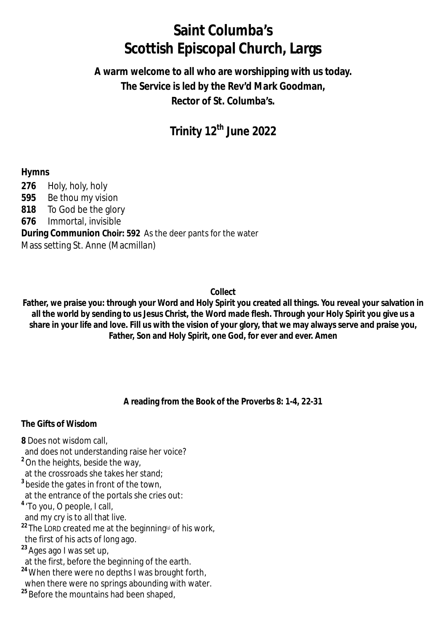# **Saint Columba's Scottish Episcopal Church, Largs**

## **A warm welcome to all who are worshipping with us today. The Service is led by the Rev'd Mark Goodman, Rector of St. Columba's.**

## **Trinity 12th June 2022**

#### **Hymns**

 Holy, holy, holy Be thou my vision To God be the glory Immortal, invisible **During Communion Choir: 592** As the deer pants for the water Mass setting St. Anne (Macmillan)

#### **Collect**

**Father, we praise you: through your Word and Holy Spirit you created all things. You reveal your salvation in all the world by sending to us Jesus Christ, the Word made flesh. Through your Holy Spirit you give us a share in your life and love. Fill us with the vision of your glory, that we may always serve and praise you, Father, Son and Holy Spirit, one God, for ever and ever. Amen**

#### **A reading from the Book of the Proverbs 8: 1-4, 22-31**

#### **The Gifts of Wisdom**

- **8** Does not wisdom call,
- and does not understanding raise her voice?
- **<sup>2</sup>**On the heights, beside the way,
- at the crossroads she takes her stand;
- **3** beside the gates in front of the town,
- at the entrance of the portals she cries out:
- **4** 'To you, O people, I call,
- and my cry is to all that live.
- **22** The LORD created me at the beginning<sup>[a]</sup> of his work,
- the first of his acts of long ago.
- **<sup>23</sup>** Ages ago I was set up,
- at the first, before the beginning of the earth.
- **<sup>24</sup>**When there were no depths I was brought forth,
- when there were no springs abounding with water.
- <sup>25</sup> Before the mountains had been shaped,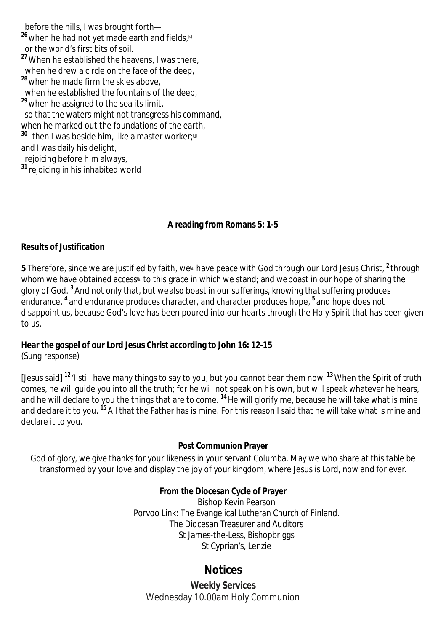before the hills, I was brought forth— **<sup>26</sup>** when he had not yet made earth and fields,<sup>[c]</sup> or the world's first bits of soil. **<sup>27</sup>**When he established the heavens, I was there, when he drew a circle on the face of the deep, **<sup>28</sup>** when he made firm the skies above, when he established the fountains of the deep, **<sup>29</sup>** when he assigned to the sea its limit, so that the waters might not transgress his command, when he marked out the foundations of the earth,  $^{\text{30}}$  then I was beside him, like a master worker;<sup>@</sup> and I was daily his delight, rejoicing before him always,

**<sup>31</sup>** rejoicing in his inhabited world

#### **A reading from Romans 5: 1-5**

#### **Results of Justification**

 $\bf 5$  Therefore, since we are justified by faith, we have peace with God through our Lord Jesus Christ, <sup>2</sup> through whom we have obtained access® to this grace in which we stand; and weboast in our hope of sharing the glory of God. **<sup>3</sup>** And not only that, but wealso boast in our sufferings, knowing that suffering produces endurance, **<sup>4</sup>** and endurance produces character, and character produces hope, **<sup>5</sup>** and hope does not disappoint us, because God's love has been poured into our hearts through the Holy Spirit that has been given to us.

#### **Hear the gospel of our Lord Jesus Christ according to John 16: 12-15**

*(Sung response)*

[Jesus said] **<sup>12</sup>** 'I still have many things to say to you, but you cannot bear them now. **<sup>13</sup>**When the Spirit of truth comes, he will guide you into all the truth; for he will not speak on his own, but will speak whatever he hears, and he will declare to you the things that are to come. **<sup>14</sup>**He will glorify me, because he will take what is mine and declare it to you. **<sup>15</sup>** All that the Father has is mine. For this reason I said that he will take what is mine and declare it to you.

#### **Post Communion Prayer**

God of glory, we give thanks for your likeness in your servant Columba. May we who share at this table be transformed by your love and display the joy of your kingdom, where Jesus is Lord, now and for ever.

#### **From the Diocesan Cycle of Prayer**

Bishop Kevin Pearson Porvoo Link: The Evangelical Lutheran Church of Finland. The Diocesan Treasurer and Auditors St James-the-Less, Bishopbriggs St Cyprian's, Lenzie

### **Notices**

**Weekly Services** Wednesday 10.00am Holy Communion